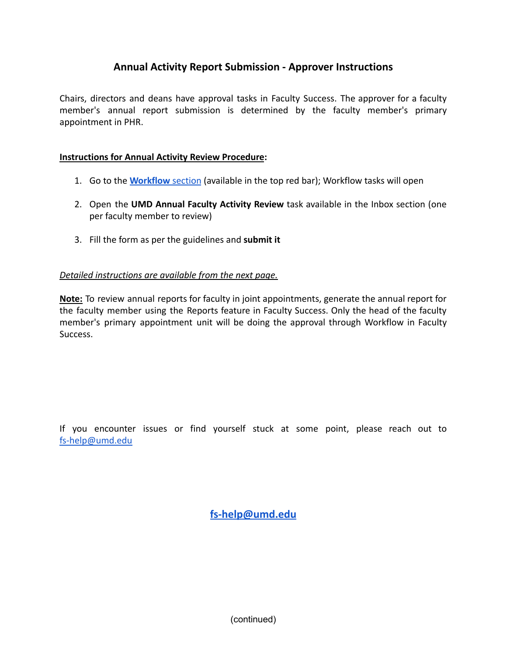## **Annual Activity Report Submission - Approver Instructions**

Chairs, directors and deans have approval tasks in Faculty Success. The approver for a faculty member's annual report submission is determined by the faculty member's primary appointment in PHR.

## **Instructions for Annual Activity Review Procedure:**

- 1. Go to the **[Workflow](https://www.digitalmeasures.com/login/umd/faculty/app/workflow/tasks?_s=0)** section (available in the top red bar); Workflow tasks will open
- 2. Open the **UMD Annual Faculty Activity Review** task available in the Inbox section (one per faculty member to review)
- 3. Fill the form as per the guidelines and **submit it**

## *Detailed instructions are available from the next page.*

**Note:** To review annual reports for faculty in joint appointments, generate the annual report for the faculty member using the Reports feature in Faculty Success. Only the head of the faculty member's primary appointment unit will be doing the approval through Workflow in Faculty Success.

If you encounter issues or find yourself stuck at some point, please reach out to [fs-help@umd.edu](mailto:fs-help@umd.edu)

**[fs-help@umd.edu](mailto:fs-help@umd.edu)**

(continued)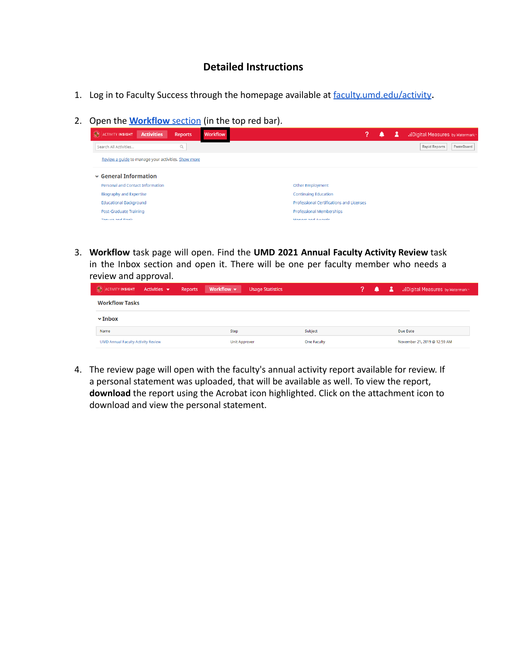## **Detailed Instructions**

- 1. Log in to Faculty Success through the homepage available at [faculty.umd.edu/activity](https://faculty.umd.edu/activity).
- 2. Open the **[Workflow](https://www.digitalmeasures.com/login/umd/faculty/app/workflow/tasks?_s=0)** section (in the top red bar).



3. **Workflow** task page will open. Find the **UMD 2021 Annual Faculty Activity Review** task in the Inbox section and open it. There will be one per faculty member who needs a review and approval.

| ACTIVITY INSIGHT Activities               | Workflow $\blacktriangledown$<br><b>Reports</b> | <b>Usage Statistics</b> | ▲ | 2 | .: Digital Measures by Watermark |
|-------------------------------------------|-------------------------------------------------|-------------------------|---|---|----------------------------------|
| <b>Workflow Tasks</b>                     |                                                 |                         |   |   |                                  |
| $\mathbf{\triangledown}$ Inbox            |                                                 |                         |   |   |                                  |
| Name                                      | Step                                            | Subject                 |   |   | Due Date                         |
| <b>UMD Annual Faculty Activity Review</b> | Unit Approver                                   | One Faculty             |   |   | November 21, 2019 @ 12:59 AM     |

4. The review page will open with the faculty's annual activity report available for review. If a personal statement was uploaded, that will be available as well. To view the report, **download** the report using the Acrobat icon highlighted. Click on the attachment icon to download and view the personal statement.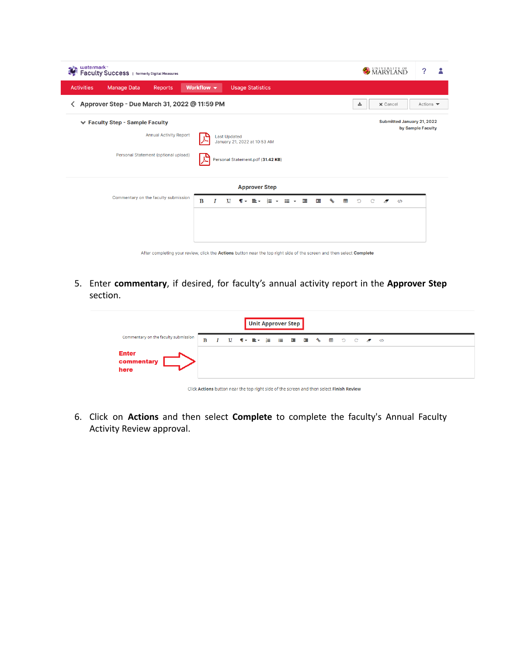| watermark <sup>*</sup><br>Faculty Success   formerly Digital Measures      |                                                                                                                       | MARYLAND<br>?                                   |  |  |  |  |  |  |
|----------------------------------------------------------------------------|-----------------------------------------------------------------------------------------------------------------------|-------------------------------------------------|--|--|--|--|--|--|
| <b>Activities</b><br><b>Manage Data</b><br><b>Reports</b>                  | Workflow $\blacktriangledown$<br><b>Usage Statistics</b>                                                              |                                                 |  |  |  |  |  |  |
| Approver Step - Due March 31, 2022 @ 11:59 PM<br>소<br>ᄾ<br><b>x</b> Cancel |                                                                                                                       |                                                 |  |  |  |  |  |  |
| ← Faculty Step - Sample Faculty<br><b>Annual Activity Report</b>           | <b>Last Updated</b><br>January 21, 2022 at 10:53 AM                                                                   | Submitted January 21, 2022<br>by Sample Faculty |  |  |  |  |  |  |
| Personal Statement (optional upload)                                       | Personal Statement.pdf (31.42 KB)<br>┻                                                                                |                                                 |  |  |  |  |  |  |
|                                                                            | <b>Approver Step</b>                                                                                                  |                                                 |  |  |  |  |  |  |
| Commentary on the faculty submission                                       | ٩<br>B<br>這<br>挂<br>囲<br>量。<br>挂<br>這<br>U<br>$\P$ $\star$<br>$\checkmark$<br>$\check{}$                              | $\mathcal{D}$<br>$\langle \rangle$<br>A         |  |  |  |  |  |  |
|                                                                            |                                                                                                                       |                                                 |  |  |  |  |  |  |
|                                                                            | After completing your review, click the Actions button near the top right side of the screen and then select Complete |                                                 |  |  |  |  |  |  |

5. Enter **commentary**, if desired, for faculty's annual activity report in the **Approver Step** section.

| <b>Unit Approver Step</b>            |   |                  |  |  |  |  |  |  |  |  |  |  |
|--------------------------------------|---|------------------|--|--|--|--|--|--|--|--|--|--|
| Commentary on the faculty submission | B | $\boldsymbol{I}$ |  |  |  |  |  |  |  |  |  |  |
| <b>Enter</b><br>commentary<br>here   |   |                  |  |  |  |  |  |  |  |  |  |  |

Click Actions button near the top right side of the screen and then select Finish Review

6. Click on **Actions** and then select **Complete** to complete the faculty's Annual Faculty Activity Review approval.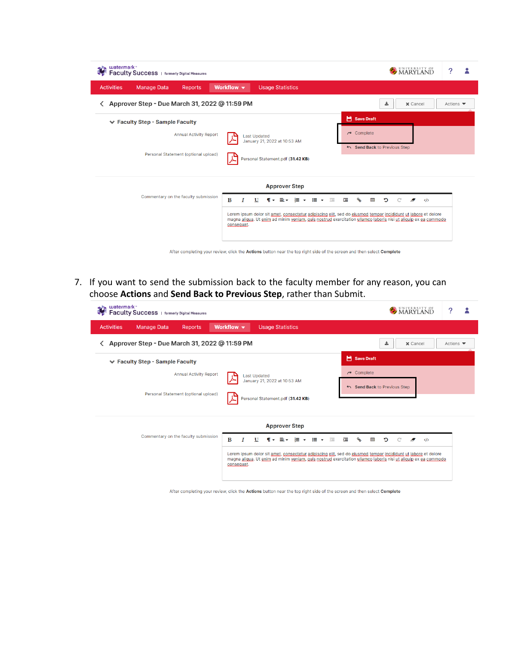| watermark <sup>*</sup><br>Faculty Success   formerly Digital Measures |                                                                                                                                                                                                                                                                                                                             | UNIVERSITY OF<br>MARYLAND                                                | ?                            |
|-----------------------------------------------------------------------|-----------------------------------------------------------------------------------------------------------------------------------------------------------------------------------------------------------------------------------------------------------------------------------------------------------------------------|--------------------------------------------------------------------------|------------------------------|
| <b>Activities</b><br><b>Manage Data</b><br><b>Reports</b>             | Workflow $\blacktriangledown$<br><b>Usage Statistics</b>                                                                                                                                                                                                                                                                    |                                                                          |                              |
| Approver Step - Due March 31, 2022 @ 11:59 PM<br>ᄾ                    |                                                                                                                                                                                                                                                                                                                             | 盀<br><b>x</b> Cancel                                                     | Actions $\blacktriangledown$ |
| <b>Example Faculty Step - Sample Faculty</b>                          |                                                                                                                                                                                                                                                                                                                             | Save Draft                                                               |                              |
| <b>Annual Activity Report</b>                                         | <b>Last Updated</b><br>January 21, 2022 at 10:53 AM                                                                                                                                                                                                                                                                         | $\rightarrow$ Complete<br>Send Back to Previous Step                     |                              |
| Personal Statement (optional upload)                                  | Personal Statement.pdf (31.42 KB)                                                                                                                                                                                                                                                                                           |                                                                          |                              |
|                                                                       | <b>Approver Step</b>                                                                                                                                                                                                                                                                                                        |                                                                          |                              |
| Commentary on the faculty submission                                  | B<br>U<br>$\P$ $\star$ $\equiv$ $\star$ $\equiv$ $\star$<br>im v<br>彊<br>I<br>Lorem ipsum dolor sit amet, consectetur adipiscing elit, sed do eiusmod tempor incididunt ut labore et dolore<br>magna aligua. Ut enim ad minim veniam, quis nostrud exercitation ullamco laboris nisi ut aliguip ex ea commodo<br>consequat. | 産<br>$\mathcal{C}_{\mathbf{b}}$<br>⊞<br>C<br>C<br>A<br>$\langle \rangle$ |                              |
|                                                                       | After completing your review, click the Actions button near the top right side of the screen and then select Complete                                                                                                                                                                                                       |                                                                          |                              |

7. If you want to send the submission back to the faculty member for any reason, you can choose **Actions** and **Send Back to Previous Step**, rather than Submit.

| watermark <sub>"</sub><br>Faculty Success   formerly Digital Measures |                                                                                                                                                                                                                                               | MARYLAND                                             |
|-----------------------------------------------------------------------|-----------------------------------------------------------------------------------------------------------------------------------------------------------------------------------------------------------------------------------------------|------------------------------------------------------|
| <b>Activities</b><br><b>Manage Data</b><br><b>Reports</b>             | Workflow v<br><b>Usage Statistics</b>                                                                                                                                                                                                         |                                                      |
| Approver Step - Due March 31, 2022 @ 11:59 PM<br>≺                    |                                                                                                                                                                                                                                               | 土<br><b>x</b> Cancel<br>Actions $\blacktriangledown$ |
| ↓ Faculty Step - Sample Faculty                                       |                                                                                                                                                                                                                                               | Save Draft                                           |
| <b>Annual Activity Report</b><br>Personal Statement (optional upload) | <b>Last Updated</b><br>January 21, 2022 at 10:53 AM<br>Personal Statement.pdf (31.42 KB)                                                                                                                                                      | $\rightarrow$ Complete<br>Send Back to Previous Step |
| Commentary on the faculty submission                                  | <b>Approver Step</b><br>B<br>量・ 信 ・<br>$\equiv$ $\sim$<br>僵<br>這<br>T<br>U<br>$\P$ $\sim$                                                                                                                                                     | ℅<br>囲<br>D<br>Ð<br>$\langle \rangle$                |
|                                                                       | Lorem ipsum dolor sit amet, consectetur adipiscing elit, sed do eiusmod tempor incididunt ut labore et dolore<br>magna aligua. Ut enim ad minim veniam, quis nostrud exercitation ullamco laboris nisi ut aliguip ex ea commodo<br>consequat. |                                                      |

After completing your review, click the Actions button near the top right side of the screen and then select Complete